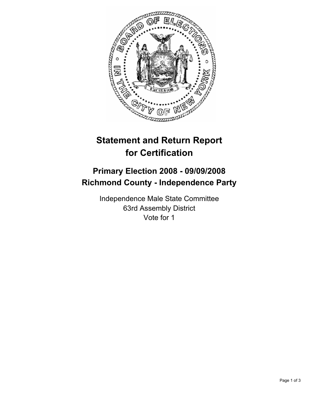

## **Statement and Return Report for Certification**

## **Primary Election 2008 - 09/09/2008 Richmond County - Independence Party**

Independence Male State Committee 63rd Assembly District Vote for 1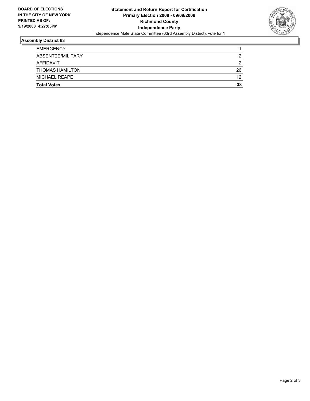

## **Assembly District 63**

| <b>EMERGENCY</b>       |    |
|------------------------|----|
| ABSENTEE/MILITARY      |    |
| AFFIDAVIT              |    |
| <b>THOMAS HAMILTON</b> | 26 |
| MICHAEL REAPE          | 12 |
| <b>Total Votes</b>     | 38 |